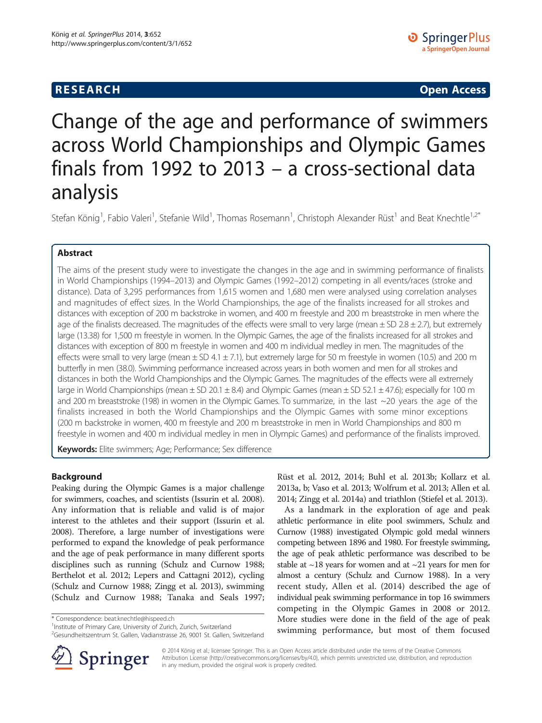# **RESEARCH RESEARCH** *CHECK CHECK CHECK CHECK CHECK CHECK CHECK CHECK CHECK CHECK CHECK CHECK CHECK CHECK CHECK CHECK CHECK CHECK CHECK CHECK CHECK CHECK CHECK CHECK CHECK CHECK CHECK CHECK CHECK CHECK CHECK CHECK CHECK*

# Change of the age and performance of swimmers across World Championships and Olympic Games finals from 1992 to 2013 – a cross-sectional data analysis

Stefan König<sup>1</sup>, Fabio Valeri<sup>1</sup>, Stefanie Wild<sup>1</sup>, Thomas Rosemann<sup>1</sup>, Christoph Alexander Rüst<sup>1</sup> and Beat Knechtle<sup>1,2\*</sup>

# Abstract

The aims of the present study were to investigate the changes in the age and in swimming performance of finalists in World Championships (1994–2013) and Olympic Games (1992–2012) competing in all events/races (stroke and distance). Data of 3,295 performances from 1,615 women and 1,680 men were analysed using correlation analyses and magnitudes of effect sizes. In the World Championships, the age of the finalists increased for all strokes and distances with exception of 200 m backstroke in women, and 400 m freestyle and 200 m breaststroke in men where the age of the finalists decreased. The magnitudes of the effects were small to very large (mean  $\pm$  SD 2.8  $\pm$  2.7), but extremely large (13.38) for 1,500 m freestyle in women. In the Olympic Games, the age of the finalists increased for all strokes and distances with exception of 800 m freestyle in women and 400 m individual medley in men. The magnitudes of the effects were small to very large (mean  $\pm$  SD 4.1  $\pm$  7.1), but extremely large for 50 m freestyle in women (10.5) and 200 m butterfly in men (38.0). Swimming performance increased across years in both women and men for all strokes and distances in both the World Championships and the Olympic Games. The magnitudes of the effects were all extremely large in World Championships (mean  $\pm$  SD 20.1  $\pm$  8.4) and Olympic Games (mean  $\pm$  SD 52.1  $\pm$  47.6); especially for 100 m and 200 m breaststroke (198) in women in the Olympic Games. To summarize, in the last ~20 years the age of the finalists increased in both the World Championships and the Olympic Games with some minor exceptions (200 m backstroke in women, 400 m freestyle and 200 m breaststroke in men in World Championships and 800 m freestyle in women and 400 m individual medley in men in Olympic Games) and performance of the finalists improved.

Keywords: Elite swimmers; Age; Performance; Sex difference

# Background

Peaking during the Olympic Games is a major challenge for swimmers, coaches, and scientists (Issurin et al. [2008](#page-11-0)). Any information that is reliable and valid is of major interest to the athletes and their support (Issurin et al. [2008\)](#page-11-0). Therefore, a large number of investigations were performed to expand the knowledge of peak performance and the age of peak performance in many different sports disciplines such as running (Schulz and Curnow [1988](#page-11-0); Berthelot et al. [2012](#page-11-0); Lepers and Cattagni [2012](#page-11-0)), cycling (Schulz and Curnow [1988](#page-11-0); Zingg et al. [2013](#page-12-0)), swimming (Schulz and Curnow [1988](#page-11-0); Tanaka and Seals [1997](#page-11-0);

\* Correspondence: [beat.knechtle@hispeed.ch](mailto:beat.knechtle@hispeed.ch) <sup>1</sup>



As a landmark in the exploration of age and peak athletic performance in elite pool swimmers, Schulz and Curnow [\(1988\)](#page-11-0) investigated Olympic gold medal winners competing between 1896 and 1980. For freestyle swimming, the age of peak athletic performance was described to be stable at  $\sim$ 18 years for women and at  $\sim$ 21 years for men for almost a century (Schulz and Curnow [1988](#page-11-0)). In a very recent study, Allen et al. ([2014\)](#page-11-0) described the age of individual peak swimming performance in top 16 swimmers competing in the Olympic Games in 2008 or 2012. More studies were done in the field of the age of peak swimming performance, but most of them focused



© 2014 König et al.; licensee Springer. This is an Open Access article distributed under the terms of the Creative Commons Attribution License [\(http://creativecommons.org/licenses/by/4.0\)](http://creativecommons.org/licenses/by/4.0), which permits unrestricted use, distribution, and reproduction in any medium, provided the original work is properly credited.

<sup>&</sup>lt;sup>1</sup> Institute of Primary Care, University of Zurich, Zurich, Switzerland

<sup>2</sup> Gesundheitszentrum St. Gallen, Vadianstrasse 26, 9001 St. Gallen, Switzerland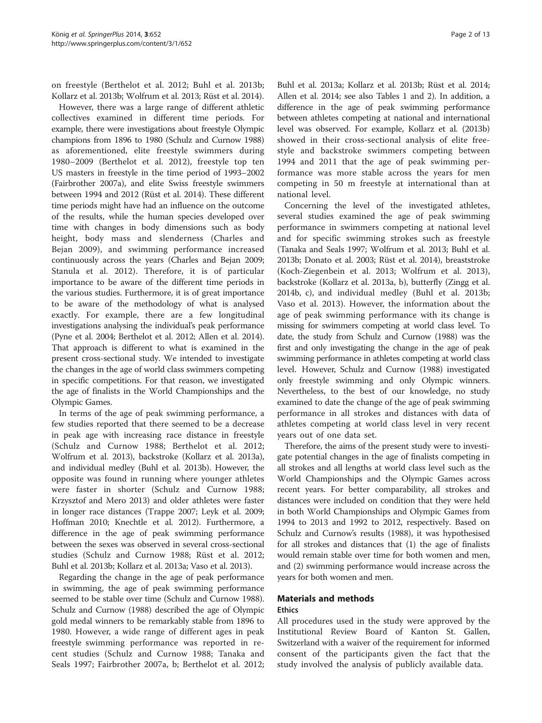on freestyle (Berthelot et al. [2012](#page-11-0); Buhl et al. [2013b](#page-11-0); Kollarz et al. [2013b;](#page-11-0) Wolfrum et al. [2013;](#page-11-0) Rüst et al. [2014\)](#page-11-0).

However, there was a large range of different athletic collectives examined in different time periods. For example, there were investigations about freestyle Olympic champions from 1896 to 1980 (Schulz and Curnow [1988](#page-11-0)) as aforementioned, elite freestyle swimmers during 1980–2009 (Berthelot et al. [2012\)](#page-11-0), freestyle top ten US masters in freestyle in the time period of 1993–2002 (Fairbrother [2007a](#page-11-0)), and elite Swiss freestyle swimmers between 1994 and 2012 (Rüst et al. [2014](#page-11-0)). These different time periods might have had an influence on the outcome of the results, while the human species developed over time with changes in body dimensions such as body height, body mass and slenderness (Charles and Bejan [2009\)](#page-11-0), and swimming performance increased continuously across the years (Charles and Bejan [2009](#page-11-0); Stanula et al. [2012\)](#page-11-0). Therefore, it is of particular importance to be aware of the different time periods in the various studies. Furthermore, it is of great importance to be aware of the methodology of what is analysed exactly. For example, there are a few longitudinal investigations analysing the individual's peak performance (Pyne et al. [2004;](#page-11-0) Berthelot et al. [2012;](#page-11-0) Allen et al. [2014](#page-11-0)). That approach is different to what is examined in the present cross-sectional study. We intended to investigate the changes in the age of world class swimmers competing in specific competitions. For that reason, we investigated the age of finalists in the World Championships and the Olympic Games.

In terms of the age of peak swimming performance, a few studies reported that there seemed to be a decrease in peak age with increasing race distance in freestyle (Schulz and Curnow [1988;](#page-11-0) Berthelot et al. [2012](#page-11-0); Wolfrum et al. [2013\)](#page-11-0), backstroke (Kollarz et al. [2013a](#page-11-0)), and individual medley (Buhl et al. [2013b\)](#page-11-0). However, the opposite was found in running where younger athletes were faster in shorter (Schulz and Curnow [1988](#page-11-0); Krzysztof and Mero [2013\)](#page-11-0) and older athletes were faster in longer race distances (Trappe [2007](#page-11-0); Leyk et al. [2009](#page-11-0); Hoffman [2010;](#page-11-0) Knechtle et al. [2012\)](#page-11-0). Furthermore, a difference in the age of peak swimming performance between the sexes was observed in several cross-sectional studies (Schulz and Curnow [1988;](#page-11-0) Rüst et al. [2012](#page-11-0); Buhl et al. [2013b;](#page-11-0) Kollarz et al. [2013a;](#page-11-0) Vaso et al. [2013](#page-11-0)).

Regarding the change in the age of peak performance in swimming, the age of peak swimming performance seemed to be stable over time (Schulz and Curnow [1988](#page-11-0)). Schulz and Curnow [\(1988\)](#page-11-0) described the age of Olympic gold medal winners to be remarkably stable from 1896 to 1980. However, a wide range of different ages in peak freestyle swimming performance was reported in recent studies (Schulz and Curnow [1988;](#page-11-0) Tanaka and Seals [1997](#page-11-0); Fairbrother [2007a](#page-11-0), [b;](#page-11-0) Berthelot et al. [2012](#page-11-0);

Buhl et al. [2013a](#page-11-0); Kollarz et al. [2013b](#page-11-0); Rüst et al. [2014](#page-11-0); Allen et al. [2014;](#page-11-0) see also Tables [1](#page-2-0) and [2](#page-3-0)). In addition, a difference in the age of peak swimming performance between athletes competing at national and international level was observed. For example, Kollarz et al. [\(2013b](#page-11-0)) showed in their cross-sectional analysis of elite freestyle and backstroke swimmers competing between 1994 and 2011 that the age of peak swimming performance was more stable across the years for men competing in 50 m freestyle at international than at national level.

Concerning the level of the investigated athletes, several studies examined the age of peak swimming performance in swimmers competing at national level and for specific swimming strokes such as freestyle (Tanaka and Seals [1997](#page-11-0); Wolfrum et al. [2013;](#page-11-0) Buhl et al. [2013b](#page-11-0); Donato et al. [2003;](#page-11-0) Rüst et al. [2014\)](#page-11-0), breaststroke (Koch-Ziegenbein et al. [2013](#page-11-0); Wolfrum et al. [2013](#page-11-0)), backstroke (Kollarz et al. [2013a](#page-11-0), [b\)](#page-11-0), butterfly (Zingg et al. [2014b](#page-12-0), [c\)](#page-12-0), and individual medley (Buhl et al. [2013b](#page-11-0); Vaso et al. [2013](#page-11-0)). However, the information about the age of peak swimming performance with its change is missing for swimmers competing at world class level. To date, the study from Schulz and Curnow [\(1988\)](#page-11-0) was the first and only investigating the change in the age of peak swimming performance in athletes competing at world class level. However, Schulz and Curnow [\(1988\)](#page-11-0) investigated only freestyle swimming and only Olympic winners. Nevertheless, to the best of our knowledge, no study examined to date the change of the age of peak swimming performance in all strokes and distances with data of athletes competing at world class level in very recent years out of one data set.

Therefore, the aims of the present study were to investigate potential changes in the age of finalists competing in all strokes and all lengths at world class level such as the World Championships and the Olympic Games across recent years. For better comparability, all strokes and distances were included on condition that they were held in both World Championships and Olympic Games from 1994 to 2013 and 1992 to 2012, respectively. Based on Schulz and Curnow's results ([1988\)](#page-11-0), it was hypothesised for all strokes and distances that (1) the age of finalists would remain stable over time for both women and men, and (2) swimming performance would increase across the years for both women and men.

# Materials and methods

#### Ethics

All procedures used in the study were approved by the Institutional Review Board of Kanton St. Gallen, Switzerland with a waiver of the requirement for informed consent of the participants given the fact that the study involved the analysis of publicly available data.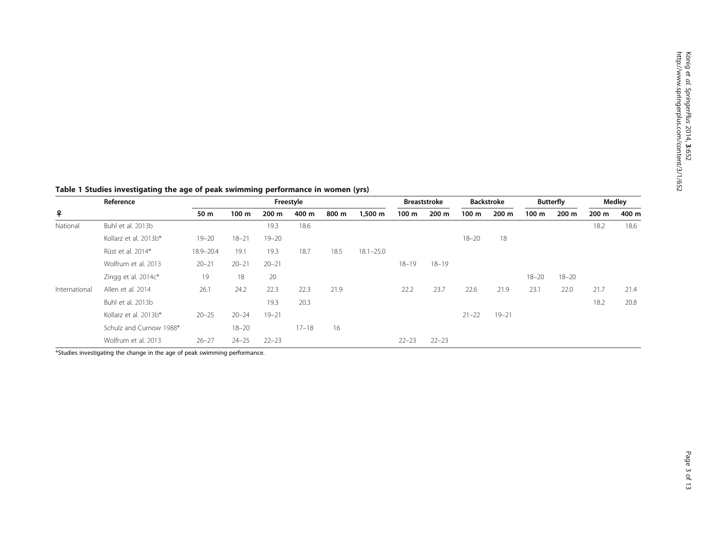<span id="page-2-0"></span>Table 1 Studies investigating the age of peak swimming performance in women (yrs)

|               | Reference               |               | Freestyle        |           |           |       |               |                  | <b>Breaststroke</b> |                  | <b>Backstroke</b> |                  | <b>Butterfly</b> |       | <b>Medley</b> |  |
|---------------|-------------------------|---------------|------------------|-----------|-----------|-------|---------------|------------------|---------------------|------------------|-------------------|------------------|------------------|-------|---------------|--|
| ቶ             |                         | 50 m          | 100 <sub>m</sub> | 200 m     | 400 m     | 800 m | 1,500 m       | 100 <sub>m</sub> | 200 m               | 100 <sub>m</sub> | 200 m             | 100 <sub>m</sub> | 200 m            | 200 m | 400 m         |  |
| National      | Buhl et al. 2013b       |               |                  | 19.3      | 18.6      |       |               |                  |                     |                  |                   |                  |                  | 18.2  | 18.6          |  |
|               | Kollarz et al. 2013b*   | $19 - 20$     | $18 - 21$        | $19 - 20$ |           |       |               |                  |                     | $18 - 20$        | 18                |                  |                  |       |               |  |
|               | Rüst et al. 2014*       | $18.9 - 20.4$ | 19.1             | 19.3      | 18.7      | 18.5  | $18.1 - 25.0$ |                  |                     |                  |                   |                  |                  |       |               |  |
|               | Wolfrum et al. 2013     | $20 - 21$     | $20 - 21$        | $20 - 21$ |           |       |               | $18 - 19$        | $18 - 19$           |                  |                   |                  |                  |       |               |  |
|               | Zingg et al. $2014c*$   | 19            | 18               | 20        |           |       |               |                  |                     |                  |                   | $18 - 20$        | $18 - 20$        |       |               |  |
| International | Allen et al. 2014       | 26.1          | 24.2             | 22.3      | 22.3      | 21.9  |               | 22.2             | 23.7                | 22.6             | 21.9              | 23.1             | 22.0             | 21.7  | 21.4          |  |
|               | Buhl et al. 2013b       |               |                  | 19.3      | 20.3      |       |               |                  |                     |                  |                   |                  |                  | 18.2  | 20.8          |  |
|               | Kollarz et al. 2013b*   | $20 - 25$     | $20 - 24$        | $19 - 21$ |           |       |               |                  |                     | $21 - 22$        | $19 - 21$         |                  |                  |       |               |  |
|               | Schulz and Curnow 1988* |               | $18 - 20$        |           | $17 - 18$ | 16    |               |                  |                     |                  |                   |                  |                  |       |               |  |
|               | Wolfrum et al. 2013     | $26 - 27$     | $24 - 25$        | $22 - 23$ |           |       |               | $22 - 23$        | $22 - 23$           |                  |                   |                  |                  |       |               |  |

\*Studies investigating the change in the age of peak swimming performance.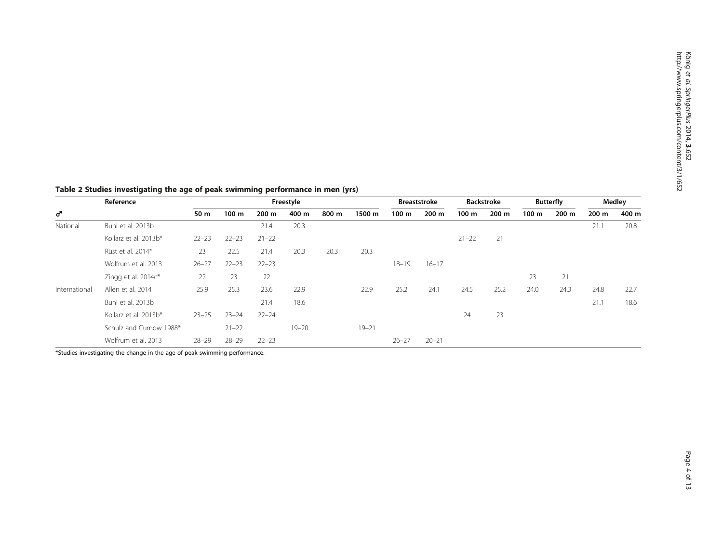<span id="page-3-0"></span>Table 2 Studies investigating the age of peak swimming performance in men (yrs)

|               | Reference               |           | Freestyle        |           |           |       |           |                  | <b>Breaststroke</b> |                  | <b>Backstroke</b> |       | <b>Butterfly</b> |       | <b>Medley</b> |  |
|---------------|-------------------------|-----------|------------------|-----------|-----------|-------|-----------|------------------|---------------------|------------------|-------------------|-------|------------------|-------|---------------|--|
| ፊ             |                         | 50 m      | 100 <sub>m</sub> | 200 m     | 400 m     | 800 m | 1500 m    | 100 <sub>m</sub> | 200 m               | 100 <sub>m</sub> | 200 m             | 100 m | 200 m            | 200 m | 400 m         |  |
| National      | Buhl et al. 2013b       |           |                  | 21.4      | 20.3      |       |           |                  |                     |                  |                   |       |                  | 21.1  | 20.8          |  |
|               | Kollarz et al. 2013b*   | $22 - 23$ | $22 - 23$        | $21 - 22$ |           |       |           |                  |                     | $21 - 22$        | 21                |       |                  |       |               |  |
|               | Rüst et al. 2014*       | 23        | 22.5             | 21.4      | 20.3      | 20.3  | 20.3      |                  |                     |                  |                   |       |                  |       |               |  |
|               | Wolfrum et al. 2013     | $26 - 27$ | $22 - 23$        | $22 - 23$ |           |       |           | $18 - 19$        | $16 - 17$           |                  |                   |       |                  |       |               |  |
|               | Zingg et al. 2014c*     | 22        | 23               | 22        |           |       |           |                  |                     |                  |                   | 23    | 21               |       |               |  |
| International | Allen et al. 2014       | 25.9      | 25.3             | 23.6      | 22.9      |       | 22.9      | 25.2             | 24.1                | 24.5             | 25.2              | 24.0  | 24.3             | 24.8  | 22.7          |  |
|               | Buhl et al. 2013b       |           |                  | 21.4      | 18.6      |       |           |                  |                     |                  |                   |       |                  | 21.1  | 18.6          |  |
|               | Kollarz et al. 2013b*   | $23 - 25$ | $23 - 24$        | $22 - 24$ |           |       |           |                  |                     | 24               | 23                |       |                  |       |               |  |
|               | Schulz and Curnow 1988* |           | $21 - 22$        |           | $19 - 20$ |       | $19 - 21$ |                  |                     |                  |                   |       |                  |       |               |  |
|               | Wolfrum et al. 2013     | $28 - 29$ | $28 - 29$        | $22 - 23$ |           |       |           | $26 - 27$        | $20 - 21$           |                  |                   |       |                  |       |               |  |

\*Studies investigating the change in the age of peak swimming performance.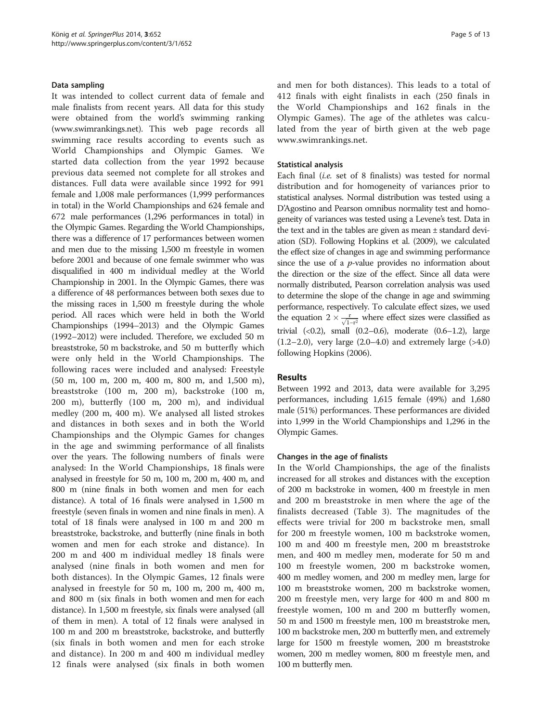#### Data sampling

It was intended to collect current data of female and male finalists from recent years. All data for this study were obtained from the world's swimming ranking ([www.swimrankings.net](http://www.swimrankings.net/)). This web page records all swimming race results according to events such as World Championships and Olympic Games. We started data collection from the year 1992 because previous data seemed not complete for all strokes and distances. Full data were available since 1992 for 991 female and 1,008 male performances (1,999 performances in total) in the World Championships and 624 female and 672 male performances (1,296 performances in total) in the Olympic Games. Regarding the World Championships, there was a difference of 17 performances between women and men due to the missing 1,500 m freestyle in women before 2001 and because of one female swimmer who was disqualified in 400 m individual medley at the World Championship in 2001. In the Olympic Games, there was a difference of 48 performances between both sexes due to the missing races in 1,500 m freestyle during the whole period. All races which were held in both the World Championships (1994–2013) and the Olympic Games (1992–2012) were included. Therefore, we excluded 50 m breaststroke, 50 m backstroke, and 50 m butterfly which were only held in the World Championships. The following races were included and analysed: Freestyle (50 m, 100 m, 200 m, 400 m, 800 m, and 1,500 m), breaststroke (100 m, 200 m), backstroke (100 m, 200 m), butterfly (100 m, 200 m), and individual medley (200 m, 400 m). We analysed all listed strokes and distances in both sexes and in both the World Championships and the Olympic Games for changes in the age and swimming performance of all finalists over the years. The following numbers of finals were analysed: In the World Championships, 18 finals were analysed in freestyle for 50 m, 100 m, 200 m, 400 m, and 800 m (nine finals in both women and men for each distance). A total of 16 finals were analysed in 1,500 m freestyle (seven finals in women and nine finals in men). A total of 18 finals were analysed in 100 m and 200 m breaststroke, backstroke, and butterfly (nine finals in both women and men for each stroke and distance). In 200 m and 400 m individual medley 18 finals were analysed (nine finals in both women and men for both distances). In the Olympic Games, 12 finals were analysed in freestyle for 50 m, 100 m, 200 m, 400 m, and 800 m (six finals in both women and men for each distance). In 1,500 m freestyle, six finals were analysed (all of them in men). A total of 12 finals were analysed in 100 m and 200 m breaststroke, backstroke, and butterfly (six finals in both women and men for each stroke and distance). In 200 m and 400 m individual medley 12 finals were analysed (six finals in both women

and men for both distances). This leads to a total of 412 finals with eight finalists in each (250 finals in the World Championships and 162 finals in the Olympic Games). The age of the athletes was calculated from the year of birth given at the web page [www.swimrankings.net.](http://www.swimrankings.net)

#### Statistical analysis

Each final (i.e. set of 8 finalists) was tested for normal distribution and for homogeneity of variances prior to statistical analyses. Normal distribution was tested using a D'Agostino and Pearson omnibus normality test and homogeneity of variances was tested using a Levene's test. Data in the text and in the tables are given as mean ± standard deviation (SD). Following Hopkins et al. [\(2009](#page-11-0)), we calculated the effect size of changes in age and swimming performance since the use of a p-value provides no information about the direction or the size of the effect. Since all data were normally distributed, Pearson correlation analysis was used to determine the slope of the change in age and swimming performance, respectively. To calculate effect sizes, we used the equation  $2 \times \frac{r}{\sqrt{1-r^2}}$  where effect sizes were classified as trivial  $( $0.2$ ), small  $(0.2-0.6)$ , moderate  $(0.6-1.2)$ , large$  $(1.2–2.0)$ , very large  $(2.0–4.0)$  and extremely large  $(>4.0)$ following Hopkins [\(2006](#page-11-0)).

# Results

Between 1992 and 2013, data were available for 3,295 performances, including 1,615 female (49%) and 1,680 male (51%) performances. These performances are divided into 1,999 in the World Championships and 1,296 in the Olympic Games.

#### Changes in the age of finalists

In the World Championships, the age of the finalists increased for all strokes and distances with the exception of 200 m backstroke in women, 400 m freestyle in men and 200 m breaststroke in men where the age of the finalists decreased (Table [3](#page-5-0)). The magnitudes of the effects were trivial for 200 m backstroke men, small for 200 m freestyle women, 100 m backstroke women, 100 m and 400 m freestyle men, 200 m breaststroke men, and 400 m medley men, moderate for 50 m and 100 m freestyle women, 200 m backstroke women, 400 m medley women, and 200 m medley men, large for 100 m breaststroke women, 200 m backstroke women, 200 m freestyle men, very large for 400 m and 800 m freestyle women, 100 m and 200 m butterfly women, 50 m and 1500 m freestyle men, 100 m breaststroke men, 100 m backstroke men, 200 m butterfly men, and extremely large for 1500 m freestyle women, 200 m breaststroke women, 200 m medley women, 800 m freestyle men, and 100 m butterfly men.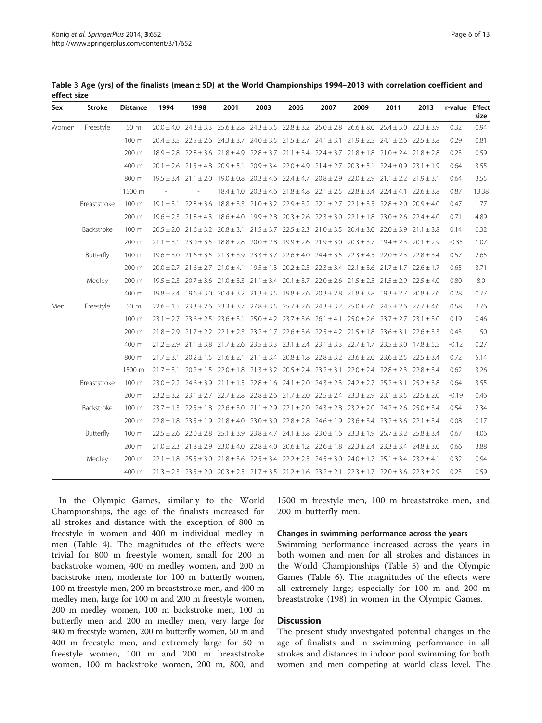<span id="page-5-0"></span>

|             | Table 3 Age (yrs) of the finalists (mean $\pm$ SD) at the World Championships 1994–2013 with correlation coefficient and |  |  |
|-------------|--------------------------------------------------------------------------------------------------------------------------|--|--|
| effect size |                                                                                                                          |  |  |

| Sex   | <b>Stroke</b> | <b>Distance</b>  | 1994 | 1998             | 2001 | 2003 | 2005 | 2007                                                                                                                                   | 2009 | 2011 | 2013 | r-value Effect | size  |
|-------|---------------|------------------|------|------------------|------|------|------|----------------------------------------------------------------------------------------------------------------------------------------|------|------|------|----------------|-------|
| Women | Freestyle     | 50 m             |      |                  |      |      |      | $20.0 \pm 4.0$ $24.3 \pm 3.3$ $25.6 \pm 2.8$ $24.3 \pm 5.5$ $22.8 \pm 3.2$ $25.0 \pm 2.8$ $26.6 \pm 8.0$ $25.4 \pm 5.0$ $22.3 \pm 3.9$ |      |      |      | 0.32           | 0.94  |
|       |               | 100 <sub>m</sub> |      |                  |      |      |      | $20.4 \pm 3.5$ $22.5 \pm 2.6$ $24.3 \pm 3.7$ $24.0 \pm 3.5$ $21.5 \pm 2.7$ $24.1 \pm 3.1$ $21.9 \pm 2.5$ $24.1 \pm 2.6$ $22.5 \pm 3.8$ |      |      |      | 0.29           | 0.81  |
|       |               | 200 m            |      |                  |      |      |      | $18.9 \pm 2.8$ $22.8 \pm 3.6$ $21.8 \pm 4.9$ $22.8 \pm 3.7$ $21.1 \pm 3.4$ $22.4 \pm 3.7$ $21.8 \pm 1.8$ $21.0 \pm 2.4$ $21.8 \pm 2.8$ |      |      |      | 0.23           | 0.59  |
|       |               | 400 m            |      |                  |      |      |      | $20.1 \pm 2.6$ $21.5 \pm 4.8$ $20.9 \pm 5.1$ $20.9 \pm 3.4$ $22.0 \pm 4.9$ $21.4 \pm 2.7$ $20.3 \pm 5.1$ $22.4 \pm 0.9$ $23.1 \pm 1.9$ |      |      |      | 0.64           | 3.55  |
|       |               | 800 m            |      |                  |      |      |      | $19.5 \pm 3.4$ $21.1 \pm 2.0$ $19.0 \pm 0.8$ $20.3 \pm 4.6$ $22.4 \pm 4.7$ $20.8 \pm 2.9$ $22.0 \pm 2.9$ $21.1 \pm 2.2$ $21.9 \pm 3.1$ |      |      |      | 0.64           | 3.55  |
|       |               | 1500 m           |      | $\sim$ 100 $\mu$ |      |      |      | $18.4 \pm 1.0$ $20.3 \pm 4.6$ $21.8 \pm 4.8$ $22.1 \pm 2.5$ $22.8 \pm 3.4$ $22.4 \pm 4.1$ $22.6 \pm 3.8$                               |      |      |      | 0.87           | 13.38 |
|       | Breaststroke  | $100 \text{ m}$  |      |                  |      |      |      | $19.1 \pm 3.1$ $22.8 \pm 3.6$ $18.8 \pm 3.3$ $21.0 \pm 3.2$ $22.9 \pm 3.2$ $22.1 \pm 2.7$ $22.1 \pm 3.5$ $22.8 \pm 2.0$ $20.9 \pm 4.0$ |      |      |      | 0.47           | 1.77  |
|       |               | 200 m            |      |                  |      |      |      | $19.6 \pm 2.3$ $21.8 \pm 4.3$ $18.6 \pm 4.0$ $19.9 \pm 2.8$ $20.3 \pm 2.6$ $22.3 \pm 3.0$ $22.1 \pm 1.8$ $23.0 \pm 2.6$ $22.4 \pm 4.0$ |      |      |      | 0.71           | 4.89  |
|       | Backstroke    | 100 m            |      |                  |      |      |      | $20.5 \pm 2.0$ $21.6 \pm 3.2$ $20.8 \pm 3.1$ $21.5 \pm 3.7$ $22.5 \pm 2.3$ $21.0 \pm 3.5$ $20.4 \pm 3.0$ $22.0 \pm 3.9$ $21.1 \pm 3.8$ |      |      |      | 0.14           | 0.32  |
|       |               | 200 m            |      |                  |      |      |      | $21.1 \pm 3.1$ $23.0 \pm 3.5$ $18.8 \pm 2.8$ $20.0 \pm 2.8$ $19.9 \pm 2.6$ $21.9 \pm 3.0$ $20.3 \pm 3.7$ $19.4 \pm 2.3$ $20.1 \pm 2.9$ |      |      |      | $-0.35$        | 1.07  |
|       | Butterfly     | 100 <sub>m</sub> |      |                  |      |      |      | $19.6 \pm 3.0$ $21.6 \pm 3.5$ $21.3 \pm 3.9$ $23.3 \pm 3.7$ $22.6 \pm 4.0$ $24.4 \pm 3.5$ $22.3 \pm 4.5$ $22.0 \pm 2.3$ $22.8 \pm 3.4$ |      |      |      | 0.57           | 2.65  |
|       |               | $200 \text{ m}$  |      |                  |      |      |      | $20.0 \pm 2.7$ $21.6 \pm 2.7$ $21.0 \pm 4.1$ $19.5 \pm 1.3$ $20.2 \pm 2.5$ $22.3 \pm 3.4$ $22.1 \pm 3.6$ $21.7 \pm 1.7$ $22.6 \pm 1.7$ |      |      |      | 0.65           | 3.71  |
|       | Medley        | 200 m            |      |                  |      |      |      | $19.5 \pm 2.3$ $20.7 \pm 3.6$ $21.0 \pm 3.3$ $21.1 \pm 3.4$ $20.1 \pm 3.7$ $22.0 \pm 2.6$ $21.5 \pm 2.5$ $21.5 \pm 2.9$ $22.5 \pm 4.0$ |      |      |      | 0.80           | 8.0   |
|       |               | 400 m            |      |                  |      |      |      | $19.8 \pm 2.4$ $19.6 \pm 3.0$ $20.4 \pm 3.2$ $21.3 \pm 3.5$ $19.8 \pm 2.6$ $20.3 \pm 2.8$ $21.8 \pm 3.8$ $19.3 \pm 2.7$ $20.8 \pm 2.6$ |      |      |      | 0.28           | 0.77  |
| Men   | Freestyle     | 50 <sub>m</sub>  |      |                  |      |      |      | $22.6 \pm 1.5$ $23.3 \pm 2.6$ $23.3 \pm 3.7$ $27.8 \pm 3.5$ $25.7 \pm 2.6$ $24.3 \pm 3.2$ $25.0 \pm 2.6$ $24.5 \pm 2.6$ $27.7 \pm 4.6$ |      |      |      | 0.58           | 2.76  |
|       |               | $100 \text{ m}$  |      |                  |      |      |      | $23.1 \pm 2.7$ $23.6 \pm 2.5$ $23.6 \pm 3.1$ $25.0 \pm 4.2$ $23.7 \pm 3.6$ $26.1 \pm 4.1$ $25.0 \pm 2.6$ $23.7 \pm 2.7$ $23.1 \pm 3.0$ |      |      |      | 0.19           | 0.46  |
|       |               | 200 m            |      |                  |      |      |      | $21.8 \pm 2.9$ $21.7 \pm 2.2$ $22.1 \pm 2.3$ $23.2 \pm 1.7$ $22.6 \pm 3.6$ $22.5 \pm 4.2$ $21.5 \pm 1.8$ $23.6 \pm 3.1$ $22.6 \pm 3.3$ |      |      |      | 0.43           | 1.50  |
|       |               | 400 m            |      |                  |      |      |      | $21.2 \pm 2.9$ $21.1 \pm 3.8$ $21.7 \pm 2.6$ $23.5 \pm 3.3$ $23.1 \pm 2.4$ $23.1 \pm 3.3$ $22.7 \pm 1.7$ $23.5 \pm 3.0$ $17.8 \pm 5.5$ |      |      |      | $-0.12$        | 0.27  |
|       |               | 800 m            |      |                  |      |      |      | $21.7 \pm 3.1$ $20.2 \pm 1.5$ $21.6 \pm 2.1$ $21.1 \pm 3.4$ $20.8 \pm 1.8$ $22.8 \pm 3.2$ $23.6 \pm 2.0$ $23.6 \pm 2.5$ $22.5 \pm 3.4$ |      |      |      | 0.72           | 5.14  |
|       |               | 1500 m           |      |                  |      |      |      | $21.7 \pm 3.1$ $20.2 \pm 1.5$ $22.0 \pm 1.8$ $21.3 \pm 3.2$ $20.5 \pm 2.4$ $23.2 \pm 3.1$ $22.0 \pm 2.4$ $22.8 \pm 2.3$ $22.8 \pm 3.4$ |      |      |      | 0.62           | 3.26  |
|       | Breaststroke  | $100 \text{ m}$  |      |                  |      |      |      | $23.0 \pm 2.2$ $24.6 \pm 3.9$ $21.1 \pm 1.5$ $22.8 \pm 1.6$ $24.1 \pm 2.0$ $24.3 \pm 2.3$ $24.2 \pm 2.7$ $25.2 \pm 3.1$ $25.2 \pm 3.8$ |      |      |      | 0.64           | 3.55  |
|       |               | 200 m            |      |                  |      |      |      | $23.2 \pm 3.2$ $23.1 \pm 2.7$ $22.7 \pm 2.8$ $22.8 \pm 2.6$ $21.7 \pm 2.0$ $22.5 \pm 2.4$ $23.3 \pm 2.9$ $23.1 \pm 3.5$ $22.5 \pm 2.0$ |      |      |      | $-0.19$        | 0.46  |
|       | Backstroke    | 100 <sub>m</sub> |      |                  |      |      |      | $23.7 \pm 1.3$ $22.5 \pm 1.8$ $22.6 \pm 3.0$ $21.1 \pm 2.9$ $22.1 \pm 2.0$ $24.3 \pm 2.8$ $23.2 \pm 2.0$ $24.2 \pm 2.6$ $25.0 \pm 3.4$ |      |      |      | 0.54           | 2.34  |
|       |               | $200 \text{ m}$  |      |                  |      |      |      | $22.8 \pm 1.8$ $23.5 \pm 1.9$ $21.8 \pm 4.0$ $23.0 \pm 3.0$ $22.8 \pm 2.8$ $24.6 \pm 1.9$ $23.6 \pm 3.4$ $23.2 \pm 3.6$ $22.1 \pm 3.4$ |      |      |      | 0.08           | 0.17  |
|       | Butterfly     | $100 \text{ m}$  |      |                  |      |      |      | $22.5 \pm 2.6$ $22.0 \pm 2.8$ $25.1 \pm 3.9$ $23.8 \pm 4.7$ $24.1 \pm 3.8$ $23.0 \pm 1.6$ $23.3 \pm 1.9$ $25.7 \pm 3.2$ $25.8 \pm 3.4$ |      |      |      | 0.67           | 4.06  |
|       |               | 200 m            |      |                  |      |      |      | $21.0 \pm 2.3$ $21.8 \pm 2.9$ $23.0 \pm 4.0$ $22.8 \pm 4.0$ $20.6 \pm 1.2$ $22.6 \pm 1.8$ $22.3 \pm 2.4$ $23.3 \pm 3.4$ $24.8 \pm 3.0$ |      |      |      | 0.66           | 3.88  |
|       | Medley        | $200 \text{ m}$  |      |                  |      |      |      | $22.1 \pm 1.8$ $25.5 \pm 3.0$ $21.8 \pm 3.6$ $22.5 \pm 3.4$ $22.2 \pm 2.5$ $24.5 \pm 3.0$ $24.0 \pm 1.7$ $25.1 \pm 3.4$ $23.2 \pm 4.1$ |      |      |      | 0.32           | 0.94  |
|       |               | 400 m            |      |                  |      |      |      | $21.3 \pm 2.3$ $23.5 \pm 2.0$ $20.3 \pm 2.5$ $21.7 \pm 3.5$ $21.2 \pm 1.6$ $23.2 \pm 2.1$ $22.3 \pm 1.7$ $22.0 \pm 3.6$ $22.3 \pm 2.9$ |      |      |      | 0.23           | 0.59  |

In the Olympic Games, similarly to the World Championships, the age of the finalists increased for all strokes and distance with the exception of 800 m freestyle in women and 400 m individual medley in men (Table [4\)](#page-6-0). The magnitudes of the effects were trivial for 800 m freestyle women, small for 200 m backstroke women, 400 m medley women, and 200 m backstroke men, moderate for 100 m butterfly women, 100 m freestyle men, 200 m breaststroke men, and 400 m medley men, large for 100 m and 200 m freestyle women, 200 m medley women, 100 m backstroke men, 100 m butterfly men and 200 m medley men, very large for 400 m freestyle women, 200 m butterfly women, 50 m and 400 m freestyle men, and extremely large for 50 m freestyle women, 100 m and 200 m breaststroke women, 100 m backstroke women, 200 m, 800, and

1500 m freestyle men, 100 m breaststroke men, and 200 m butterfly men.

#### Changes in swimming performance across the years

Swimming performance increased across the years in both women and men for all strokes and distances in the World Championships (Table [5\)](#page-7-0) and the Olympic Games (Table [6](#page-8-0)). The magnitudes of the effects were all extremely large; especially for 100 m and 200 m breaststroke (198) in women in the Olympic Games.

### **Discussion**

The present study investigated potential changes in the age of finalists and in swimming performance in all strokes and distances in indoor pool swimming for both women and men competing at world class level. The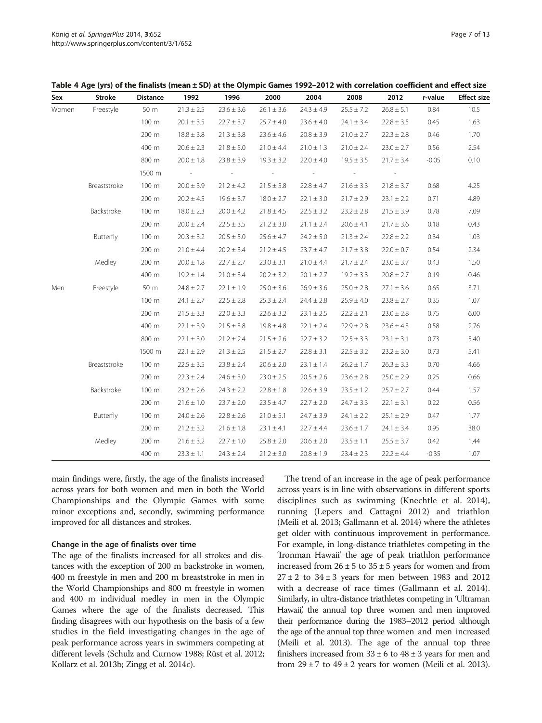| Sex   | <b>Stroke</b> | <b>Distance</b> | 1992                     | 1996           | 2000           | 2004           | 2008           | 2012           | r-value | <b>Effect size</b> |
|-------|---------------|-----------------|--------------------------|----------------|----------------|----------------|----------------|----------------|---------|--------------------|
| Women | Freestyle     | 50 m            | $21.3 \pm 2.5$           | $23.6 \pm 3.6$ | $26.1 \pm 3.6$ | $24.3 \pm 4.9$ | $25.5 \pm 7.2$ | $26.8 \pm 5.1$ | 0.84    | 10.5               |
|       |               | 100 m           | $20.1 \pm 3.5$           | $22.7 \pm 3.7$ | $25.7 \pm 4.0$ | $23.6 \pm 4.0$ | $24.1 \pm 3.4$ | $22.8 \pm 3.5$ | 0.45    | 1.63               |
|       |               | 200 m           | $18.8 \pm 3.8$           | $21.3 \pm 3.8$ | $23.6 \pm 4.6$ | $20.8 \pm 3.9$ | $21.0 \pm 2.7$ | $22.3 \pm 2.8$ | 0.46    | 1.70               |
|       |               | 400 m           | $20.6 \pm 2.3$           | $21.8 \pm 5.0$ | $21.0 \pm 4.4$ | $21.0 \pm 1.3$ | $21.0 \pm 2.4$ | $23.0 \pm 2.7$ | 0.56    | 2.54               |
|       |               | 800 m           | $20.0 \pm 1.8$           | $23.8 \pm 3.9$ | $19.3 \pm 3.2$ | $22.0 \pm 4.0$ | $19.5 \pm 3.5$ | $21.7 \pm 3.4$ | $-0.05$ | 0.10               |
|       |               | 1500 m          | $\overline{\phantom{a}}$ |                |                |                |                |                |         |                    |
|       | Breaststroke  | 100 m           | $20.0 \pm 3.9$           | $21.2 \pm 4.2$ | $21.5 \pm 5.8$ | $22.8 \pm 4.7$ | $21.6 \pm 3.3$ | $21.8 \pm 3.7$ | 0.68    | 4.25               |
|       |               | 200 m           | $20.2 \pm 4.5$           | $19.6 \pm 3.7$ | $18.0 \pm 2.7$ | $22.1 \pm 3.0$ | $21.7 \pm 2.9$ | $23.1 \pm 2.2$ | 0.71    | 4.89               |
|       | Backstroke    | 100 m           | $18.0 \pm 2.3$           | $20.0 \pm 4.2$ | $21.8 \pm 4.5$ | $22.5 \pm 3.2$ | $23.2 \pm 2.8$ | $21.5 \pm 3.9$ | 0.78    | 7.09               |
|       |               | 200 m           | $20.0 \pm 2.4$           | $22.5 \pm 3.5$ | $21.2 \pm 3.0$ | $21.1 \pm 2.4$ | $20.6 \pm 4.1$ | $21.7 \pm 3.6$ | 0.18    | 0.43               |
|       | Butterfly     | 100 m           | $20.3 \pm 3.2$           | $20.5 \pm 5.0$ | $25.6 \pm 4.7$ | $24.2 \pm 5.0$ | $21.3 \pm 2.4$ | $22.8 \pm 2.2$ | 0.34    | 1.03               |
|       |               | 200 m           | $21.0 \pm 4.4$           | $20.2 \pm 3.4$ | $21.2 \pm 4.5$ | $23.7 \pm 4.7$ | $21.7 \pm 3.8$ | $22.0\pm0.7$   | 0.54    | 2.34               |
|       | Medley        | 200 m           | $20.0 \pm 1.8$           | $22.7 \pm 2.7$ | $23.0 \pm 3.1$ | $21.0 \pm 4.4$ | $21.7 \pm 2.4$ | $23.0 \pm 3.7$ | 0.43    | 1.50               |
|       |               | 400 m           | $19.2 \pm 1.4$           | $21.0 \pm 3.4$ | $20.2 \pm 3.2$ | $20.1 \pm 2.7$ | $19.2 \pm 3.3$ | $20.8 \pm 2.7$ | 0.19    | 0.46               |
| Men   | Freestyle     | 50 <sub>m</sub> | $24.8 \pm 2.7$           | $22.1 \pm 1.9$ | $25.0 \pm 3.6$ | $26.9 \pm 3.6$ | $25.0 \pm 2.8$ | $27.1 \pm 3.6$ | 0.65    | 3.71               |
|       |               | 100 m           | $24.1 \pm 2.7$           | $22.5 \pm 2.8$ | $25.3 \pm 2.4$ | $24.4 \pm 2.8$ | $25.9 \pm 4.0$ | $23.8 \pm 2.7$ | 0.35    | 1.07               |
|       |               | 200 m           | $21.5 \pm 3.3$           | $22.0 \pm 3.3$ | $22.6 \pm 3.2$ | $23.1 \pm 2.5$ | $22.2 \pm 2.1$ | $23.0 \pm 2.8$ | 0.75    | 6.00               |
|       |               | 400 m           | $22.1 \pm 3.9$           | $21.5 \pm 3.8$ | $19.8 \pm 4.8$ | $22.1 \pm 2.4$ | $22.9\pm2.8$   | $23.6 \pm 4.3$ | 0.58    | 2.76               |
|       |               | 800 m           | $22.1 \pm 3.0$           | $21.2 \pm 2.4$ | $21.5 \pm 2.6$ | $22.7 \pm 3.2$ | $22.5 \pm 3.3$ | $23.1 \pm 3.1$ | 0.73    | 5.40               |
|       |               | 1500 m          | $22.1 \pm 2.9$           | $21.3 \pm 2.5$ | $21.5 \pm 2.7$ | $22.8 \pm 3.1$ | $22.5\pm3.2$   | $23.2 \pm 3.0$ | 0.73    | 5.41               |
|       | Breaststroke  | 100 m           | $22.5 \pm 3.5$           | $23.8 \pm 2.4$ | $20.6 \pm 2.0$ | $23.1 \pm 1.4$ | $26.2 \pm 1.7$ | $26.3 \pm 3.3$ | 0.70    | 4.66               |
|       |               | 200 m           | $22.3 \pm 2.4$           | $24.6 \pm 3.0$ | $23.0 \pm 2.5$ | $20.5 \pm 2.6$ | $23.6 \pm 2.8$ | $25.0 \pm 2.9$ | 0.25    | 0.66               |
|       | Backstroke    | $100 \text{ m}$ | $23.2 \pm 2.6$           | $24.3 \pm 2.2$ | $22.8 \pm 1.8$ | $22.6 \pm 3.9$ | $23.5 \pm 1.2$ | $25.7 \pm 2.7$ | 0.44    | 1.57               |
|       |               | 200 m           | $21.6 \pm 1.0$           | $23.7 \pm 2.0$ | $23.5 \pm 4.7$ | $22.7 \pm 2.0$ | $24.7 \pm 3.3$ | $22.1 \pm 3.1$ | 0.22    | 0.56               |
|       | Butterfly     | 100 m           | $24.0 \pm 2.6$           | $22.8 \pm 2.6$ | $21.0 \pm 5.1$ | $24.7 \pm 3.9$ | $24.1\pm2.2$   | $25.1 \pm 2.9$ | 0.47    | 1.77               |
|       |               | 200 m           | $21.2 \pm 3.2$           | $21.6 \pm 1.8$ | $23.1\pm4.1$   | $22.7 \pm 4.4$ | $23.6 \pm 1.7$ | $24.1 \pm 3.4$ | 0.95    | 38.0               |
|       | Medley        | 200 m           | $21.6 \pm 3.2$           | $22.7 \pm 1.0$ | $25.8 \pm 2.0$ | $20.6 \pm 2.0$ | $23.5 \pm 1.1$ | $25.5 \pm 3.7$ | 0.42    | 1.44               |
|       |               | 400 m           | $23.3 \pm 1.1$           | $24.3 \pm 2.4$ | $21.2 \pm 3.0$ | $20.8 \pm 1.9$ | $23.4 \pm 2.3$ | $22.2 \pm 4.4$ | $-0.35$ | 1.07               |

<span id="page-6-0"></span>Table 4 Age (yrs) of the finalists (mean ± SD) at the Olympic Games 1992–2012 with correlation coefficient and effect size

main findings were, firstly, the age of the finalists increased across years for both women and men in both the World Championships and the Olympic Games with some minor exceptions and, secondly, swimming performance improved for all distances and strokes.

#### Change in the age of finalists over time

The age of the finalists increased for all strokes and distances with the exception of 200 m backstroke in women, 400 m freestyle in men and 200 m breaststroke in men in the World Championships and 800 m freestyle in women and 400 m individual medley in men in the Olympic Games where the age of the finalists decreased. This finding disagrees with our hypothesis on the basis of a few studies in the field investigating changes in the age of peak performance across years in swimmers competing at different levels (Schulz and Curnow [1988](#page-11-0); Rüst et al. [2012](#page-11-0); Kollarz et al. [2013b;](#page-11-0) Zingg et al. [2014c](#page-12-0)).

The trend of an increase in the age of peak performance across years is in line with observations in different sports disciplines such as swimming (Knechtle et al. [2014](#page-11-0)), running (Lepers and Cattagni [2012\)](#page-11-0) and triathlon (Meili et al. [2013](#page-11-0); Gallmann et al. [2014](#page-11-0)) where the athletes get older with continuous improvement in performance. For example, in long-distance triathletes competing in the 'Ironman Hawaii' the age of peak triathlon performance increased from  $26 \pm 5$  to  $35 \pm 5$  years for women and from  $27 \pm 2$  to  $34 \pm 3$  years for men between 1983 and 2012 with a decrease of race times (Gallmann et al. [2014](#page-11-0)). Similarly, in ultra-distance triathletes competing in 'Ultraman Hawaii', the annual top three women and men improved their performance during the 1983–2012 period although the age of the annual top three women and men increased (Meili et al. [2013\)](#page-11-0). The age of the annual top three finishers increased from  $33 \pm 6$  to  $48 \pm 3$  years for men and from  $29 \pm 7$  to  $49 \pm 2$  years for women (Meili et al. [2013](#page-11-0)).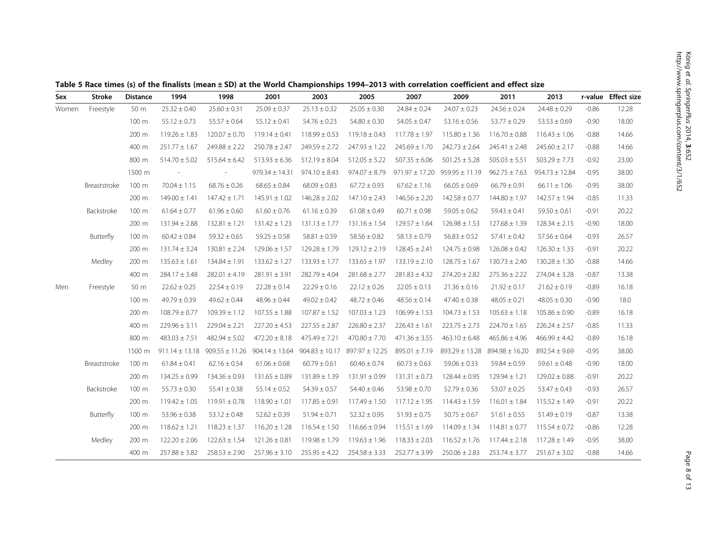| Sex   | Stroke       | <b>Distance</b>  | 1994                     | 1998                                  | 2001               | 2003               | 2005               | 2007               | 2009               | 2011               | 2013               |         | r-value Effect size |
|-------|--------------|------------------|--------------------------|---------------------------------------|--------------------|--------------------|--------------------|--------------------|--------------------|--------------------|--------------------|---------|---------------------|
| Women | Freestyle    | 50 m             | $25.32 \pm 0.40$         | $25.60 \pm 0.31$                      | $25.09 \pm 0.37$   | $25.13 \pm 0.32$   | $25.05 \pm 0.30$   | $24.84 \pm 0.24$   | $24.07 \pm 0.23$   | $24.56 \pm 0.24$   | $24.48 \pm 0.29$   | $-0.86$ | 12.28               |
|       |              | $100 \text{ m}$  | $55.12 \pm 0.73$         | $55.57 \pm 0.64$                      | $55.12 \pm 0.41$   | $54.76 \pm 0.23$   | $54.80 \pm 0.30$   | $54.05 \pm 0.47$   | $53.16 \pm 0.56$   | $53.77 \pm 0.29$   | $53.53 \pm 0.69$   | $-0.90$ | 18.00               |
|       |              | 200 m            | $119.26 \pm 1.83$        | $120.07 \pm 0.70$                     | $119.14 \pm 0.41$  | $118.99 \pm 0.53$  | $119.18 \pm 0.43$  | $117.78 \pm 1.97$  | $115.80 \pm 1.36$  | $116.70 \pm 0.88$  | $116.43 \pm 1.06$  | $-0.88$ | 14.66               |
|       |              | 400 m            | $251.77 \pm 1.67$        | $249.88 \pm 2.22$                     | $250.78 \pm 2.47$  | $249.59 \pm 2.72$  | $247.93 \pm 1.22$  | $245.69 \pm 1.70$  | $242.73 \pm 2.64$  | $245.41 \pm 2.48$  | $245.60 \pm 2.17$  | $-0.88$ | 14.66               |
|       |              | 800 m            | $514.70 \pm 5.02$        | $515.64 \pm 6.42$                     | $513.93 \pm 6.36$  | $512.19 \pm 8.04$  | $512.05 \pm 5.22$  | $507.35 \pm 6.06$  | $501.25 \pm 5.28$  | $505.03 \pm 5.51$  | $503.29 \pm 7.73$  | $-0.92$ | 23.00               |
|       |              | 1500 m           | $\overline{\phantom{a}}$ |                                       | $979.34 \pm 14.31$ | $974.10 \pm 8.43$  | $974.07 \pm 8.79$  | $971.97 \pm 17.20$ | $959.95 \pm 11.19$ | $962.75 \pm 7.63$  | $954.73 \pm 12.84$ | $-0.95$ | 38.00               |
|       | Breaststroke | $100 \text{ m}$  | $70.04 \pm 1.15$         | $68.76 \pm 0.26$                      | $68.65 \pm 0.84$   | $68.09 \pm 0.83$   | $67.72 \pm 0.93$   | $67.62 \pm 1.16$   | $66.05 \pm 0.69$   | $66.79 \pm 0.91$   | $66.11 \pm 1.06$   | $-0.95$ | 38.00               |
|       |              | 200 m            | $149.00 \pm 1.41$        | $147.42 \pm 1.71$                     | $145.91 \pm 1.02$  | $146.28 \pm 2.02$  | $147.10 \pm 2.43$  | $146.56 \pm 2.20$  | $142.58 \pm 0.77$  | $144.80 \pm 1.97$  | $142.57 \pm 1.94$  | $-0.85$ | 11.33               |
|       | Backstroke   | $100 \text{ m}$  | $61.64 \pm 0.77$         | $61.96 \pm 0.60$                      | $61.60 \pm 0.76$   | $61.16 \pm 0.39$   | $61.08 \pm 0.49$   | $60.71 \pm 0.98$   | $59.05 \pm 0.62$   | $59.43 \pm 0.41$   | $59.50 \pm 0.61$   | $-0.91$ | 20.22               |
|       |              | 200 m            | $131.94 \pm 2.88$        | $132.81 \pm 1.21$                     | $131.42 \pm 1.23$  | $131.13 \pm 1.77$  | $131.16 \pm 1.54$  | $129.57 \pm 1.64$  | $126.98 \pm 1.53$  | $127.68 \pm 1.39$  | $128.34 \pm 2.15$  | $-0.90$ | 18.00               |
|       | Butterfly    | $100 \text{ m}$  | $60.42 \pm 0.84$         | $59.32 \pm 0.65$                      | $59.25 \pm 0.58$   | $58.81 \pm 0.59$   | $58.56 \pm 0.82$   | $58.13 \pm 0.79$   | $56.83 \pm 0.52$   | $57.41 \pm 0.42$   | $57.56 \pm 0.64$   | $-0.93$ | 26.57               |
|       |              | 200 m            | $131.74 \pm 3.24$        | $130.81 \pm 2.24$                     | $129.06 \pm 1.57$  | $129.28 \pm 1.79$  | $129.12 \pm 2.19$  | $128.45 \pm 2.41$  | $124.75 \pm 0.98$  | $126.08 \pm 0.42$  | $126.30 \pm 1.33$  | $-0.91$ | 20.22               |
|       | Medley       | 200 m            | $135.63 \pm 1.61$        | $134.84 \pm 1.91$                     | $133.62 \pm 1.27$  | $133.93 \pm 1.77$  | $133.65 \pm 1.97$  | $133.19 \pm 2.10$  | $128.75 \pm 1.67$  | $130.73 \pm 2.40$  | $130.28 \pm 1.30$  | $-0.88$ | 14.66               |
|       |              | 400 m            | $284.17 \pm 3.48$        | $282.01 \pm 4.19$                     | $281.91 \pm 3.91$  | $282.79 \pm 4.04$  | $281.68 \pm 2.77$  | $281.83 \pm 4.32$  | $274.20 \pm 2.82$  | $275.36 \pm 2.22$  | $274.04 \pm 3.28$  | $-0.87$ | 13.38               |
| Men   | Freestyle    | 50 m             | $22.62 \pm 0.25$         | $22.54 \pm 0.19$                      | $22.28 \pm 0.14$   | $22.29 \pm 0.16$   | $22.12 \pm 0.26$   | $22.05 \pm 0.13$   | $21.36 \pm 0.16$   | $21.92 \pm 0.17$   | $21.62 \pm 0.19$   | $-0.89$ | 16.18               |
|       |              | $100 \text{ m}$  | $49.79 \pm 0.39$         | $49.62 \pm 0.44$                      | $48.96 \pm 0.44$   | $49.02 \pm 0.42$   | $48.72 \pm 0.46$   | $48.56 \pm 0.14$   | $47.40 \pm 0.38$   | $48.05 \pm 0.21$   | $48.05 \pm 0.30$   | $-0.90$ | 18.0                |
|       |              | 200 m            | $108.79 \pm 0.77$        | $109.39 \pm 1.12$                     | $107.55 \pm 1.88$  | $107.87 \pm 1.52$  | $107.03 \pm 1.23$  | $106.99 \pm 1.53$  | $104.73 \pm 1.53$  | $105.63 \pm 1.18$  | $105.86 \pm 0.90$  | $-0.89$ | 16.18               |
|       |              | 400 m            | $229.96 \pm 3.11$        | $229.04 \pm 2.21$                     | $227.20 \pm 4.53$  | $227.55 \pm 2.87$  | $226.80 \pm 2.37$  | $226.43 \pm 1.61$  | $223.75 \pm 2.73$  | $224.70 \pm 1.65$  | $226.24 \pm 2.57$  | $-0.85$ | 11.33               |
|       |              | 800 m            | $483.03 \pm 7.51$        | $482.94 \pm 5.02$                     | $472.20 \pm 8.18$  | $475.49 \pm 7.21$  | $470.80 \pm 7.70$  | $471.36 \pm 3.55$  | $463.10 \pm 6.48$  | $465.86 \pm 4.96$  | $466.99 \pm 4.42$  | $-0.89$ | 16.18               |
|       |              | 1500 m           |                          | $911.14 \pm 13.18$ $909.55 \pm 11.26$ | $904.14 \pm 13.64$ | $904.83 \pm 10.17$ | $897.97 \pm 12.25$ | $895.01 \pm 7.19$  | $893.29 \pm 13.28$ | $894.98 \pm 16.20$ | $892.54 \pm 9.69$  | $-0.95$ | 38.00               |
|       | Breaststroke | 100 <sub>m</sub> | $61.84 \pm 0.41$         | $62.16 \pm 0.54$                      | $61.06 \pm 0.68$   | $60.79 \pm 0.61$   | $60.46 \pm 0.74$   | $60.73 \pm 0.63$   | $59.06 \pm 0.33$   | $59.84 \pm 0.59$   | $59.61 \pm 0.48$   | $-0.90$ | 18.00               |
|       |              | $200 \text{ m}$  | $134.25 \pm 0.99$        | $134.36 \pm 0.93$                     | $131.65 \pm 0.89$  | $131.89 \pm 1.39$  | $131.91 \pm 0.99$  | $131.31 \pm 0.73$  | $128.44 \pm 0.95$  | $129.94 \pm 1.21$  | $129.02 \pm 0.88$  | $-0.91$ | 20.22               |
|       | Backstroke   | $100 \text{ m}$  | $55.73 \pm 0.30$         | $55.41 \pm 0.38$                      | $55.14 \pm 0.52$   | $54.39 \pm 0.57$   | $54.40 \pm 0.46$   | $53.98 \pm 0.70$   | $52.79 \pm 0.36$   | $53.07 \pm 0.25$   | $53.47 \pm 0.43$   | $-0.93$ | 26.57               |
|       |              | $200 \text{ m}$  | $119.42 \pm 1.05$        | $119.91 \pm 0.78$                     | $118.90 \pm 1.01$  | $117.85 \pm 0.91$  | $117.49 \pm 1.50$  | $117.12 \pm 1.95$  | $114.43 \pm 1.59$  | $116.01 \pm 1.84$  | $115.52 \pm 1.49$  | $-0.91$ | 20.22               |
|       | Butterfly    | $100 \text{ m}$  | $53.96 \pm 0.38$         | $53.12 \pm 0.48$                      | $52.62 \pm 0.39$   | $51.94 \pm 0.71$   | $52.32 \pm 0.95$   | $51.93 \pm 0.75$   | $50.75 \pm 0.67$   | $51.61 \pm 0.55$   | $51.49 \pm 0.19$   | $-0.87$ | 13.38               |
|       |              | $200 \text{ m}$  | $118.62 \pm 1.21$        | $118.23 \pm 1.37$                     | $116.20 \pm 1.28$  | $116.54 \pm 1.50$  | $116.66 \pm 0.94$  | $115.51 \pm 1.69$  | $114.09 \pm 1.34$  | $114.81 \pm 0.77$  | $115.54 \pm 0.72$  | $-0.86$ | 12.28               |
|       | Medley       | 200 m            | $122.20 \pm 2.06$        | $122.63 \pm 1.54$                     | $121.26 \pm 0.81$  | $119.98 \pm 1.79$  | $119.63 \pm 1.96$  | $118.33 \pm 2.03$  | $116.52 \pm 1.76$  | $117.44 \pm 2.18$  | $117.28 \pm 1.49$  | $-0.95$ | 38.00               |
|       |              | 400 m            | $257.88 \pm 3.82$        | $258.53 \pm 2.90$                     | $257.96 \pm 3.10$  | $255.95 \pm 4.22$  | $254.58 \pm 3.33$  | $252.77 \pm 3.99$  | $250.06 \pm 2.83$  | $253.74 \pm 3.77$  | $251.67 \pm 3.02$  | $-0.88$ | 14.66               |

<span id="page-7-0"></span>Table 5 Race times (s) of the finalists (mean ± SD) at the World Championships 1994–2013 with correlation coefficient and effect size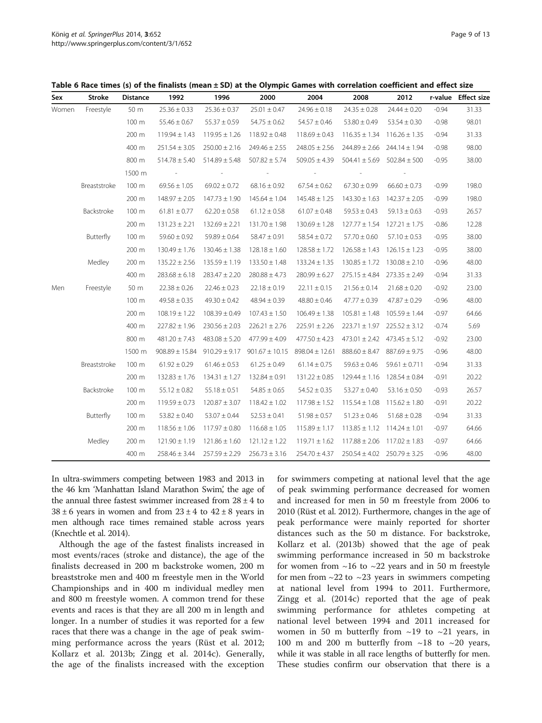<span id="page-8-0"></span>

| Table 6 Race times (s) of the finalists (mean $\pm$ SD) at the Olympic Games with correlation coefficient and effect size |  |  |  |  |
|---------------------------------------------------------------------------------------------------------------------------|--|--|--|--|
|---------------------------------------------------------------------------------------------------------------------------|--|--|--|--|

| Sex   | <b>Stroke</b> | <b>Distance</b>  | 1992               | 1996              | 2000               | 2004               | 2008              | 2012                                |         | r-value Effect size |
|-------|---------------|------------------|--------------------|-------------------|--------------------|--------------------|-------------------|-------------------------------------|---------|---------------------|
| Women | Freestyle     | 50 m             | $25.36 \pm 0.33$   | $25.36 \pm 0.37$  | $25.01 \pm 0.47$   | $24.96 \pm 0.18$   | $24.35 \pm 0.28$  | $24.44 \pm 0.20$                    | $-0.94$ | 31.33               |
|       |               | 100 m            | $55.46 \pm 0.67$   | $55.37 \pm 0.59$  | $54.75 \pm 0.62$   | $54.57 \pm 0.46$   | $53.80 \pm 0.49$  | $53.54 \pm 0.30$                    | $-0.98$ | 98.01               |
|       |               | 200 m            | $119.94 \pm 1.43$  | $119.95 \pm 1.26$ | $118.92 \pm 0.48$  | $118.69 \pm 0.43$  | $116.35 \pm 1.34$ | $116.26 \pm 1.35$                   | $-0.94$ | 31.33               |
|       |               | 400 m            | $251.54 \pm 3.05$  | $250.00 \pm 2.16$ | $249.46 \pm 2.55$  | $248.05 \pm 2.56$  | $244.89 \pm 2.66$ | $244.14 \pm 1.94$                   | $-0.98$ | 98.00               |
|       |               | 800 m            | $514.78 \pm 5.40$  | $514.89 \pm 5.48$ | $507.82 \pm 5.74$  | $509.05 \pm 4.39$  | $504.41 \pm 5.69$ | $502.84 \pm 500$                    | $-0.95$ | 38.00               |
|       |               | 1500 m           |                    |                   |                    |                    |                   |                                     |         |                     |
|       | Breaststroke  | 100 m            | $69.56 \pm 1.05$   | $69.02 \pm 0.72$  | $68.16 \pm 0.92$   | $67.54 \pm 0.62$   | $67.30 \pm 0.99$  | $66.60 \pm 0.73$                    | $-0.99$ | 198.0               |
|       |               | 200 m            | $148.97 \pm 2.05$  | $147.73 \pm 1.90$ | $145.64 \pm 1.04$  | $145.48 \pm 1.25$  | $143.30 \pm 1.63$ | $142.37 \pm 2.05$                   | $-0.99$ | 198.0               |
|       | Backstroke    | 100 m            | $61.81 \pm 0.77$   | $62.20 \pm 0.58$  | $61.12 \pm 0.58$   | $61.07 \pm 0.48$   | $59.53 \pm 0.43$  | $59.13 \pm 0.63$                    | $-0.93$ | 26.57               |
|       |               | 200 m            | $131.23 \pm 2.21$  | $132.69 \pm 2.21$ | $131.70 \pm 1.98$  | $130.69 \pm 1.28$  | $127.77 \pm 1.54$ | $127.21 \pm 1.75$                   | $-0.86$ | 12.28               |
|       | Butterfly     | 100 m            | $59.60 \pm 0.92$   | $59.89 \pm 0.64$  | $58.47 \pm 0.91$   | $58.54 \pm 0.72$   | $57.70 \pm 0.60$  | $57.10 \pm 0.53$                    | $-0.95$ | 38.00               |
|       |               | 200 m            | $130.49 \pm 1.76$  | $130.46 \pm 1.38$ | $128.18 \pm 1.60$  | $128.58 \pm 1.72$  | $126.58 \pm 1.43$ | $126.15 \pm 1.23$                   | $-0.95$ | 38.00               |
|       | Medley        | 200 m            | $135.22 \pm 2.56$  | $135.59 \pm 1.19$ | $133.50 \pm 1.48$  | $133.24 \pm 1.35$  | $130.85 \pm 1.72$ | $130.08 \pm 2.10$                   | $-0.96$ | 48.00               |
|       |               | 400 m            | $283.68 \pm 6.18$  | $283.47 \pm 2.20$ | $280.88 \pm 4.73$  | $280.99 \pm 6.27$  | $275.15 \pm 4.84$ | $273.35 \pm 2.49$                   | $-0.94$ | 31.33               |
| Men   | Freestyle     | 50 m             | $22.38 \pm 0.26$   | $22.46 \pm 0.23$  | $22.18 \pm 0.19$   | $22.11 \pm 0.15$   | $21.56 \pm 0.14$  | $21.68 \pm 0.20$                    | $-0.92$ | 23.00               |
|       |               | 100 m            | $49.58 \pm 0.35$   | $49.30 \pm 0.42$  | $48.94 \pm 0.39$   | $48.80 \pm 0.46$   | $47.77 \pm 0.39$  | $47.87 \pm 0.29$                    | $-0.96$ | 48.00               |
|       |               | 200 m            | $108.19 \pm 1.22$  | $108.39 \pm 0.49$ | $107.43 \pm 1.50$  | $106.49 \pm 1.38$  | $105.81 \pm 1.48$ | $105.59 \pm 1.44$                   | $-0.97$ | 64.66               |
|       |               | 400 m            | $227.82 \pm 1.96$  | $230.56 \pm 2.03$ | $226.21 \pm 2.76$  | $225.91 \pm 2.26$  |                   | $223.71 \pm 1.97$ $225.52 \pm 3.12$ | $-0.74$ | 5.69                |
|       |               | 800 m            | $481.20 \pm 7.43$  | $483.08 \pm 5.20$ | $477.99 \pm 4.09$  | $477.50 \pm 4.23$  | $473.01 \pm 2.42$ | $473.45 \pm 5.12$                   | $-0.92$ | 23.00               |
|       |               | 1500 m           | $908.89 \pm 15.84$ | $910.29 \pm 9.17$ | $901.67 \pm 10.15$ | $898.04 \pm 12.61$ | $888.60 \pm 8.47$ | $887.69 \pm 9.75$                   | $-0.96$ | 48.00               |
|       | Breaststroke  | 100 <sub>m</sub> | $61.92 \pm 0.29$   | $61.46 \pm 0.53$  | $61.25 \pm 0.49$   | $61.14 \pm 0.75$   | $59.63 \pm 0.46$  | $59.61 \pm 0.711$                   | $-0.94$ | 31.33               |
|       |               | 200 m            | $132.83 \pm 1.76$  | $134.31 \pm 1.27$ | $132.84 \pm 0.91$  | $131.22 \pm 0.85$  | $129.44 \pm 1.16$ | $128.54 \pm 0.84$                   | $-0.91$ | 20.22               |
|       | Backstroke    | 100 <sub>m</sub> | $55.12 \pm 0.82$   | $55.18 \pm 0.51$  | $54.85 \pm 0.65$   | $54.52 \pm 0.35$   | $53.27 \pm 0.40$  | $53.16 \pm 0.50$                    | $-0.93$ | 26.57               |
|       |               | 200 m            | $119.59 \pm 0.73$  | $120.87 \pm 3.07$ | $118.42 \pm 1.02$  | $117.98 \pm 1.52$  | $115.54 \pm 1.08$ | $115.62 \pm 1.80$                   | $-0.91$ | 20.22               |
|       | Butterfly     | 100 m            | $53.82 \pm 0.40$   | $53.07 \pm 0.44$  | $52.53 \pm 0.41$   | $51.98 \pm 0.57$   | $51.23 \pm 0.46$  | $51.68 \pm 0.28$                    | $-0.94$ | 31.33               |
|       |               | 200 m            | $118.56 \pm 1.06$  | $117.97 \pm 0.80$ | $116.68 \pm 1.05$  | $115.89 \pm 1.17$  | $113.85 \pm 1.12$ | $114.24 \pm 1.01$                   | $-0.97$ | 64.66               |
|       | Medley        | 200 m            | $121.90 \pm 1.19$  | $121.86 \pm 1.60$ | $121.12 \pm 1.22$  | $119.71 \pm 1.62$  | $117.88 \pm 2.06$ | $117.02 \pm 1.83$                   | $-0.97$ | 64.66               |
|       |               | 400 m            | $258.46 \pm 3.44$  | $257.59 \pm 2.29$ | $256.73 \pm 3.16$  | $254.70 \pm 4.37$  |                   | $250.54 \pm 4.02$ $250.79 \pm 3.25$ | $-0.96$ | 48.00               |

In ultra-swimmers competing between 1983 and 2013 in the 46 km 'Manhattan Island Marathon Swim', the age of the annual three fastest swimmer increased from  $28 \pm 4$  to  $38 \pm 6$  years in women and from  $23 \pm 4$  to  $42 \pm 8$  years in men although race times remained stable across years (Knechtle et al. [2014\)](#page-11-0).

Although the age of the fastest finalists increased in most events/races (stroke and distance), the age of the finalists decreased in 200 m backstroke women, 200 m breaststroke men and 400 m freestyle men in the World Championships and in 400 m individual medley men and 800 m freestyle women. A common trend for these events and races is that they are all 200 m in length and longer. In a number of studies it was reported for a few races that there was a change in the age of peak swimming performance across the years (Rüst et al. [2012](#page-11-0); Kollarz et al. [2013b](#page-11-0); Zingg et al. [2014c](#page-12-0)). Generally, the age of the finalists increased with the exception for swimmers competing at national level that the age of peak swimming performance decreased for women and increased for men in 50 m freestyle from 2006 to 2010 (Rüst et al. [2012](#page-11-0)). Furthermore, changes in the age of peak performance were mainly reported for shorter distances such as the 50 m distance. For backstroke, Kollarz et al. ([2013b\)](#page-11-0) showed that the age of peak swimming performance increased in 50 m backstroke for women from  $~16$  to  $~22$  years and in 50 m freestyle for men from  $\sim$ 22 to  $\sim$ 23 years in swimmers competing at national level from 1994 to 2011. Furthermore, Zingg et al. ([2014c](#page-12-0)) reported that the age of peak swimming performance for athletes competing at national level between 1994 and 2011 increased for women in 50 m butterfly from  $\sim$ 19 to  $\sim$ 21 years, in 100 m and 200 m butterfly from  $\sim$ 18 to  $\sim$ 20 years, while it was stable in all race lengths of butterfly for men. These studies confirm our observation that there is a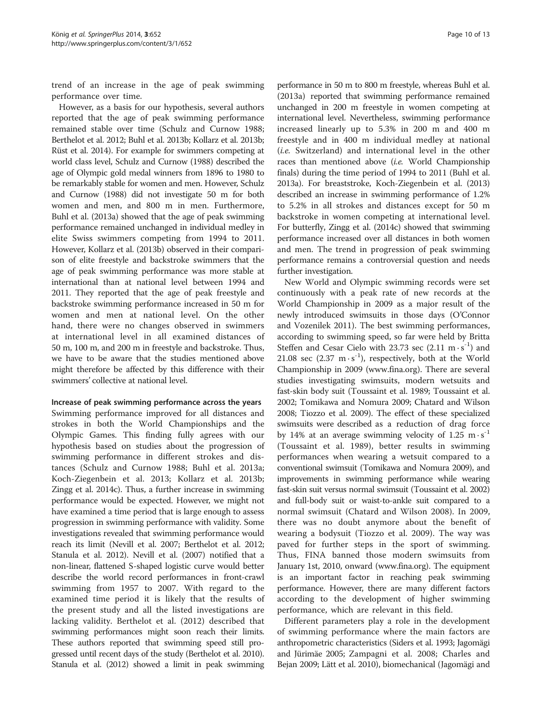trend of an increase in the age of peak swimming performance over time.

However, as a basis for our hypothesis, several authors reported that the age of peak swimming performance remained stable over time (Schulz and Curnow [1988](#page-11-0); Berthelot et al. [2012](#page-11-0); Buhl et al. [2013b](#page-11-0); Kollarz et al. [2013b](#page-11-0); Rüst et al. [2014](#page-11-0)). For example for swimmers competing at world class level, Schulz and Curnow [\(1988](#page-11-0)) described the age of Olympic gold medal winners from 1896 to 1980 to be remarkably stable for women and men. However, Schulz and Curnow [\(1988](#page-11-0)) did not investigate 50 m for both women and men, and 800 m in men. Furthermore, Buhl et al. ([2013a](#page-11-0)) showed that the age of peak swimming performance remained unchanged in individual medley in elite Swiss swimmers competing from 1994 to 2011. However, Kollarz et al. [\(2013b](#page-11-0)) observed in their comparison of elite freestyle and backstroke swimmers that the age of peak swimming performance was more stable at international than at national level between 1994 and 2011. They reported that the age of peak freestyle and backstroke swimming performance increased in 50 m for women and men at national level. On the other hand, there were no changes observed in swimmers at international level in all examined distances of 50 m, 100 m, and 200 m in freestyle and backstroke. Thus, we have to be aware that the studies mentioned above might therefore be affected by this difference with their swimmers' collective at national level.

#### Increase of peak swimming performance across the years

Swimming performance improved for all distances and strokes in both the World Championships and the Olympic Games. This finding fully agrees with our hypothesis based on studies about the progression of swimming performance in different strokes and distances (Schulz and Curnow [1988;](#page-11-0) Buhl et al. [2013a](#page-11-0); Koch-Ziegenbein et al. [2013;](#page-11-0) Kollarz et al. [2013b](#page-11-0); Zingg et al. [2014c](#page-12-0)). Thus, a further increase in swimming performance would be expected. However, we might not have examined a time period that is large enough to assess progression in swimming performance with validity. Some investigations revealed that swimming performance would reach its limit (Nevill et al. [2007;](#page-11-0) Berthelot et al. [2012](#page-11-0); Stanula et al. [2012](#page-11-0)). Nevill et al. [\(2007\)](#page-11-0) notified that a non-linear, flattened S-shaped logistic curve would better describe the world record performances in front-crawl swimming from 1957 to 2007. With regard to the examined time period it is likely that the results of the present study and all the listed investigations are lacking validity. Berthelot et al. ([2012\)](#page-11-0) described that swimming performances might soon reach their limits. These authors reported that swimming speed still progressed until recent days of the study (Berthelot et al. [2010](#page-11-0)). Stanula et al. ([2012](#page-11-0)) showed a limit in peak swimming

performance in 50 m to 800 m freestyle, whereas Buhl et al. ([2013a](#page-11-0)) reported that swimming performance remained unchanged in 200 m freestyle in women competing at international level. Nevertheless, swimming performance increased linearly up to 5.3% in 200 m and 400 m freestyle and in 400 m individual medley at national (i.e. Switzerland) and international level in the other races than mentioned above (i.e. World Championship finals) during the time period of 1994 to 2011 (Buhl et al. [2013a](#page-11-0)). For breaststroke, Koch-Ziegenbein et al. [\(2013](#page-11-0)) described an increase in swimming performance of 1.2% to 5.2% in all strokes and distances except for 50 m backstroke in women competing at international level. For butterfly, Zingg et al. [\(2014c\)](#page-12-0) showed that swimming performance increased over all distances in both women and men. The trend in progression of peak swimming performance remains a controversial question and needs further investigation.

New World and Olympic swimming records were set continuously with a peak rate of new records at the World Championship in 2009 as a major result of the newly introduced swimsuits in those days (O'Connor and Vozenilek [2011\)](#page-11-0). The best swimming performances, according to swimming speed, so far were held by Britta Steffen and Cesar Cielo with 23.73 sec  $(2.11 \text{ m} \cdot \text{s}^{-1})$  and 21.08 sec (2.37  $m \cdot s^{-1}$ ), respectively, both at the World Championship in 2009 [\(www.fina.org\)](http://www.fina.org). There are several studies investigating swimsuits, modern wetsuits and fast-skin body suit (Toussaint et al. [1989;](#page-11-0) Toussaint et al. [2002](#page-11-0); Tomikawa and Nomura [2009](#page-11-0); Chatard and Wilson [2008](#page-11-0); Tiozzo et al. [2009\)](#page-11-0). The effect of these specialized swimsuits were described as a reduction of drag force by 14% at an average swimming velocity of 1.25  $m \cdot s^{-1}$ (Toussaint et al. [1989](#page-11-0)), better results in swimming performances when wearing a wetsuit compared to a conventional swimsuit (Tomikawa and Nomura [2009\)](#page-11-0), and improvements in swimming performance while wearing fast-skin suit versus normal swimsuit (Toussaint et al. [2002](#page-11-0)) and full-body suit or waist-to-ankle suit compared to a normal swimsuit (Chatard and Wilson [2008\)](#page-11-0). In 2009, there was no doubt anymore about the benefit of wearing a bodysuit (Tiozzo et al. [2009](#page-11-0)). The way was paved for further steps in the sport of swimming. Thus, FINA banned those modern swimsuits from January 1st, 2010, onward ([www.fina.org](http://www.fina.org/)). The equipment is an important factor in reaching peak swimming performance. However, there are many different factors according to the development of higher swimming performance, which are relevant in this field.

Different parameters play a role in the development of swimming performance where the main factors are anthropometric characteristics (Siders et al. [1993;](#page-11-0) Jagomägi and Jürimäe [2005](#page-11-0); Zampagni et al. [2008;](#page-11-0) Charles and Bejan [2009;](#page-11-0) Lätt et al. [2010\)](#page-11-0), biomechanical (Jagomägi and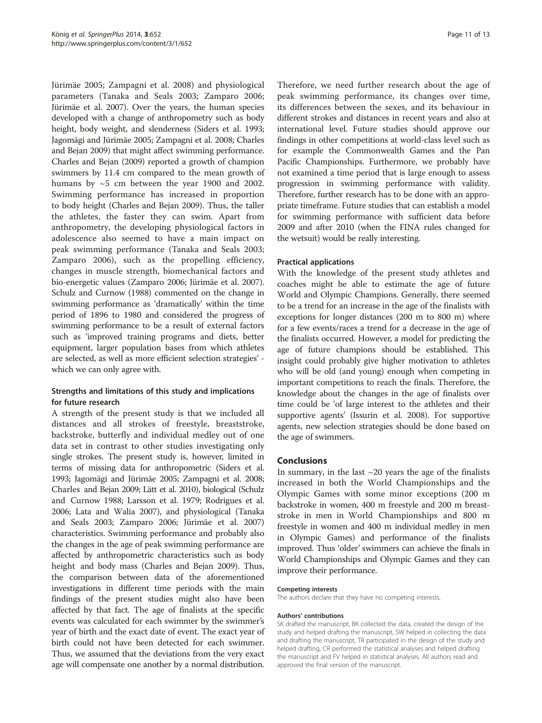Jürimäe [2005;](#page-11-0) Zampagni et al. [2008](#page-11-0)) and physiological parameters (Tanaka and Seals [2003](#page-11-0); Zamparo [2006](#page-11-0); Jürimäe et al. [2007\)](#page-11-0). Over the years, the human species developed with a change of anthropometry such as body height, body weight, and slenderness (Siders et al. [1993](#page-11-0); Jagomägi and Jürimäe [2005](#page-11-0); Zampagni et al. [2008](#page-11-0); Charles and Bejan [2009](#page-11-0)) that might affect swimming performance. Charles and Bejan ([2009](#page-11-0)) reported a growth of champion swimmers by 11.4 cm compared to the mean growth of humans by ~5 cm between the year 1900 and 2002. Swimming performance has increased in proportion to body height (Charles and Bejan [2009](#page-11-0)). Thus, the taller the athletes, the faster they can swim. Apart from anthropometry, the developing physiological factors in adolescence also seemed to have a main impact on peak swimming performance (Tanaka and Seals [2003](#page-11-0); Zamparo [2006](#page-11-0)), such as the propelling efficiency, changes in muscle strength, biomechanical factors and bio-energetic values (Zamparo [2006](#page-11-0); Jürimäe et al. [2007](#page-11-0)). Schulz and Curnow [\(1988](#page-11-0)) commented on the change in swimming performance as 'dramatically' within the time period of 1896 to 1980 and considered the progress of swimming performance to be a result of external factors such as 'improved training programs and diets, better equipment, larger population bases from which athletes are selected, as well as more efficient selection strategies' which we can only agree with.

# Strengths and limitations of this study and implications for future research

A strength of the present study is that we included all distances and all strokes of freestyle, breaststroke, backstroke, butterfly and individual medley out of one data set in contrast to other studies investigating only single strokes. The present study is, however, limited in terms of missing data for anthropometric (Siders et al. [1993;](#page-11-0) Jagomägi and Jürimäe [2005;](#page-11-0) Zampagni et al. [2008](#page-11-0); Charles and Bejan [2009](#page-11-0); Lätt et al. [2010](#page-11-0)), biological (Schulz and Curnow [1988;](#page-11-0) Larsson et al. [1979](#page-11-0); Rodrigues et al. [2006;](#page-11-0) Lata and Walia [2007](#page-11-0)), and physiological (Tanaka and Seals [2003](#page-11-0); Zamparo [2006;](#page-11-0) Jürimäe et al. [2007](#page-11-0)) characteristics. Swimming performance and probably also the changes in the age of peak swimming performance are affected by anthropometric characteristics such as body height and body mass (Charles and Bejan [2009](#page-11-0)). Thus, the comparison between data of the aforementioned investigations in different time periods with the main findings of the present studies might also have been affected by that fact. The age of finalists at the specific events was calculated for each swimmer by the swimmer's year of birth and the exact date of event. The exact year of birth could not have been detected for each swimmer. Thus, we assumed that the deviations from the very exact age will compensate one another by a normal distribution.

Therefore, we need further research about the age of peak swimming performance, its changes over time, its differences between the sexes, and its behaviour in different strokes and distances in recent years and also at international level. Future studies should approve our findings in other competitions at world-class level such as for example the Commonwealth Games and the Pan Pacific Championships. Furthermore, we probably have not examined a time period that is large enough to assess progression in swimming performance with validity. Therefore, further research has to be done with an appropriate timeframe. Future studies that can establish a model for swimming performance with sufficient data before 2009 and after 2010 (when the FINA rules changed for the wetsuit) would be really interesting.

# Practical applications

With the knowledge of the present study athletes and coaches might be able to estimate the age of future World and Olympic Champions. Generally, there seemed to be a trend for an increase in the age of the finalists with exceptions for longer distances (200 m to 800 m) where for a few events/races a trend for a decrease in the age of the finalists occurred. However, a model for predicting the age of future champions should be established. This insight could probably give higher motivation to athletes who will be old (and young) enough when competing in important competitions to reach the finals. Therefore, the knowledge about the changes in the age of finalists over time could be 'of large interest to the athletes and their supportive agents' (Issurin et al. [2008\)](#page-11-0). For supportive agents, new selection strategies should be done based on the age of swimmers.

# Conclusions

In summary, in the last  $\sim$  20 years the age of the finalists increased in both the World Championships and the Olympic Games with some minor exceptions (200 m backstroke in women, 400 m freestyle and 200 m breaststroke in men in World Championships and 800 m freestyle in women and 400 m individual medley in men in Olympic Games) and performance of the finalists improved. Thus 'older' swimmers can achieve the finals in World Championships and Olympic Games and they can improve their performance.

#### Competing interests

The authors declare that they have no competing interests.

#### Authors' contributions

SK drafted the manuscript, BK collected the data, created the design of the study and helped drafting the manuscript, SW helped in collecting the data and drafting the manuscript, TR participated in the design of the study and helped drafting, CR performed the statistical analyses and helped drafting the manuscript and FV helped in statistical analyses. All authors read and approved the final version of the manuscript.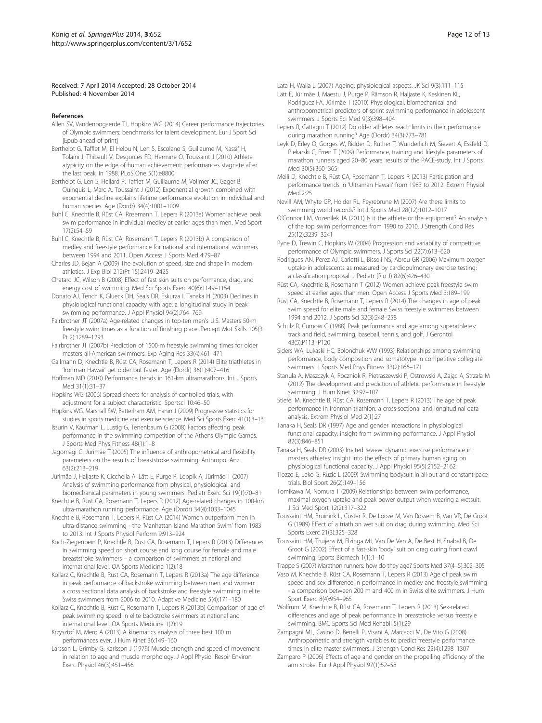#### <span id="page-11-0"></span>Received: 7 April 2014 Accepted: 28 October 2014 Published: 4 November 2014

#### References

- Allen SV, Vandenbogaerde TJ, Hopkins WG (2014) Career performance trajectories of Olympic swimmers: benchmarks for talent development. Eur J Sport Sci [Epub ahead of print]
- Berthelot G, Tafflet M, El Helou N, Len S, Escolano S, Guillaume M, Nassif H, Tolaïni J, Thibault V, Desgorces FD, Hermine O, Toussaint J (2010) Athlete atypicity on the edge of human achievement: performances stagnate after the last peak, in 1988. PLoS One 5(1):e8800
- Berthelot G, Len S, Hellard P, Tafflet M, Guillaume M, Vollmer JC, Gager B, Quinquis L, Marc A, Toussaint J (2012) Exponential growth combined with exponential decline explains lifetime performance evolution in individual and human species. Age (Dordr) 34(4):1001–1009
- Buhl C, Knechtle B, Rüst CA, Rosemann T, Lepers R (2013a) Women achieve peak swim performance in individual medley at earlier ages than men. Med Sport 17(2):54–59
- Buhl C, Knechtle B, Rüst CA, Rosemann T, Lepers R (2013b) A comparison of medley and freestyle performance for national and international swimmers between 1994 and 2011. Open Access J Sports Med 4:79–87
- Charles JD, Bejan A (2009) The evolution of speed, size and shape in modern athletics. J Exp Biol 212(Pt 15):2419–2425
- Chatard JC, Wilson B (2008) Effect of fast skin suits on performance, drag, and energy cost of swimming. Med Sci Sports Exerc 40(6):1149–1154
- Donato AJ, Tench K, Glueck DH, Seals DR, Eskurza I, Tanaka H (2003) Declines in physiological functional capacity with age: a longitudinal study in peak swimming performance. J Appl Physiol 94(2):764–769
- Fairbrother JT (2007a) Age-related changes in top-ten men's U.S. Masters 50-m freestyle swim times as a function of finishing place. Percept Mot Skills 105(3 Pt 2):1289–1293
- Fairbrother JT (2007b) Prediction of 1500-m freestyle swimming times for older masters all-American swimmers. Exp Aging Res 33(4):461–471
- Gallmann D, Knechtle B, Rüst CA, Rosemann T, Lepers R (2014) Elite triathletes in 'Ironman Hawaii' get older but faster. Age (Dordr) 36(1):407–416
- Hoffman MD (2010) Performance trends in 161-km ultramarathons. Int J Sports Med 31(1):31–37
- Hopkins WG (2006) Spread sheets for analysis of controlled trials, with adjustment for a subject characteristic. Sportsci 10:46–50
- Hopkins WG, Marshall SW, Batterham AM, Hanin J (2009) Progressive statistics for studies in sports medicine and exercise science. Med Sci Sports Exerc 41(1):3–13
- Issurin V, Kaufman L, Lustig G, Tenenbaum G (2008) Factors affecting peak performance in the swimming competition of the Athens Olympic Games. J Sports Med Phys Fitness 48(1):1–8
- Jagomägi G, Jürimäe T (2005) The influence of anthropometrical and flexibility parameters on the results of breaststroke swimming. Anthropol Anz 63(2):213–219
- Jürimäe J, Haljaste K, Cicchella A, Lätt E, Purge P, Leppik A, Jürimäe T (2007) Analysis of swimming performance from physical, physiological, and biomechanical parameters in young swimmers. Pediatr Exerc Sci 19(1):70–81
- Knechtle B, Rüst CA, Rosemann T, Lepers R (2012) Age-related changes in 100-km ultra-marathon running performance. Age (Dordr) 34(4):1033–1045
- Knechtle B, Rosemann T, Lepers R, Rüst CA (2014) Women outperform men in ultra-distance swimming - the 'Manhattan Island Marathon Swim' from 1983 to 2013. Int J Sports Physiol Perform 9:913–924
- Koch-Ziegenbein P, Knechtle B, Rüst CA, Rosemann T, Lepers R (2013) Differences in swimming speed on short course and long course for female and male breaststroke swimmers – a comparison of swimmers at national and international level. OA Sports Medicine 1(2):18
- Kollarz C, Knechtle B, Rüst CA, Rosemann T, Lepers R (2013a) The age difference in peak performance of backstroke swimming between men and women: a cross sectional data analysis of backstroke and freestyle swimming in elite Swiss swimmers from 2006 to 2010. Adaptive Medicine 5(4):171–180
- Kollarz C, Knechtle B, Rüst C, Rosemann T, Lepers R (2013b) Comparison of age of peak swimming speed in elite backstroke swimmers at national and international level. OA Sports Medicine 1(2):19
- Krzysztof M, Mero A (2013) A kinematics analysis of three best 100 m performances ever. J Hum Kinet 36:149–160
- Larsson L, Grimby G, Karlsson J (1979) Muscle strength and speed of movement in relation to age and muscle morphology. J Appl Physiol Respir Environ Exerc Physiol 46(3):451–456
- Lata H, Walia L (2007) Ageing: physiological aspects. JK Sci 9(3):111–115
- Lätt E, Jürimäe J, Mäestu J, Purge P, Rämson R, Haljaste K, Keskinen KL, Rodriguez FA, Jürimäe T (2010) Physiological, biomechanical and anthropometrical predictors of sprint swimming performance in adolescent swimmers. J Sports Sci Med 9(3):398–404
- Lepers R, Cattagni T (2012) Do older athletes reach limits in their performance during marathon running? Age (Dordr) 34(3):773–781
- Leyk D, Erley O, Gorges W, Ridder D, Rüther T, Wunderlich M, Sievert A, Essfeld D, Piekarski C, Erren T (2009) Performance, training and lifestyle parameters of marathon runners aged 20–80 years: results of the PACE-study. Int J Sports Med 30(5):360–365
- Meili D, Knechtle B, Rüst CA, Rosemann T, Lepers R (2013) Participation and performance trends in 'Ultraman Hawaii' from 1983 to 2012. Extrem Physiol .<br>Med 2:25
- Nevill AM, Whyte GP, Holder RL, Peyrebrune M (2007) Are there limits to swimming world records? Int J Sports Med 28(12):1012–1017
- O'Connor LM, Vozenilek JA (2011) Is it the athlete or the equipment? An analysis of the top swim performances from 1990 to 2010. J Strength Cond Res 25(12):3239–3241
- Pyne D, Trewin C, Hopkins W (2004) Progression and variability of competitive performance of Olympic swimmers. J Sports Sci 22(7):613–620
- Rodrigues AN, Perez AJ, Carletti L, Bissoli NS, Abreu GR (2006) Maximum oxygen uptake in adolescents as measured by cardiopulmonary exercise testing: a classification proposal. J Pediatr (Rio J) 82(6):426–430
- Rüst CA, Knechtle B, Rosemann T (2012) Women achieve peak freestyle swim speed at earlier ages than men. Open Access J Sports Med 3:189–199
- Rüst CA, Knechtle B, Rosemann T, Lepers R (2014) The changes in age of peak swim speed for elite male and female Swiss freestyle swimmers between 1994 and 2012. J Sports Sci 32(3):248–258
- Schulz R, Curnow C (1988) Peak performance and age among superathletes: track and field, swimming, baseball, tennis, and golf. J Gerontol 43(5):P113–P120
- Siders WA, Lukaski HC, Bolonchuk WW (1993) Relationships among swimming performance, body composition and somatotype in competitive collegiate swimmers. J Sports Med Phys Fitness 33(2):166–171
- Stanula A, Maszczyk A, Roczniok R, Pietraszewski P, Ostrowski A, Zając A, Strzała M (2012) The development and prediction of athletic performance in freestyle swimming. J Hum Kinet 32:97–107
- Stiefel M, Knechtle B, Rüst CA, Rosemann T, Lepers R (2013) The age of peak performance in Ironman triathlon: a cross-sectional and longitudinal data analysis. Extrem Physiol Med 2(1):27
- Tanaka H, Seals DR (1997) Age and gender interactions in physiological functional capacity: insight from swimming performance. J Appl Physiol 82(3):846–851
- Tanaka H, Seals DR (2003) Invited review: dynamic exercise performance in masters athletes: insight into the effects of primary human aging on physiological functional capacity. J Appl Physiol 95(5):2152–2162
- Tiozzo E, Leko G, Ruzic L (2009) Swimming bodysuit in all-out and constant-pace trials. Biol Sport 26(2):149–156
- Tomikawa M, Nomura T (2009) Relationships between swim performance, maximal oxygen uptake and peak power output when wearing a wetsuit. J Sci Med Sport 12(2):317–322
- Toussaint HM, Bruinink L, Coster R, De Looze M, Van Rossem B, Van VR, De Groot G (1989) Effect of a triathlon wet suit on drag during swimming. Med Sci Sports Exerc 21(3):325–328
- Toussaint HM, Truijens M, Elzinga MJ, Van De Ven A, De Best H, Snabel B, De Groot G (2002) Effect of a fast-skin 'body' suit on drag during front crawl swimming. Sports Biomech 1(1):1–10

Trappe S (2007) Marathon runners: how do they age? Sports Med 37(4–5):302–305

- Vaso M, Knechtle B, Rüst CA, Rosemann T, Lepers R (2013) Age of peak swim speed and sex difference in performance in medley and freestyle swimming - a comparison between 200 m and 400 m in Swiss elite swimmers. J Hum Sport Exerc 8(4):954–965
- Wolfrum M, Knechtle B, Rüst CA, Rosemann T, Lepers R (2013) Sex-related differences and age of peak performance in breaststroke versus freestyle swimming. BMC Sports Sci Med Rehabil 5(1):29
- Zampagni ML, Casino D, Benelli P, Visani A, Marcacci M, De Vito G (2008) Anthropometric and strength variables to predict freestyle performance times in elite master swimmers. J Strength Cond Res 22(4):1298–1307
- Zamparo P (2006) Effects of age and gender on the propelling efficiency of the arm stroke. Eur J Appl Physiol 97(1):52–58